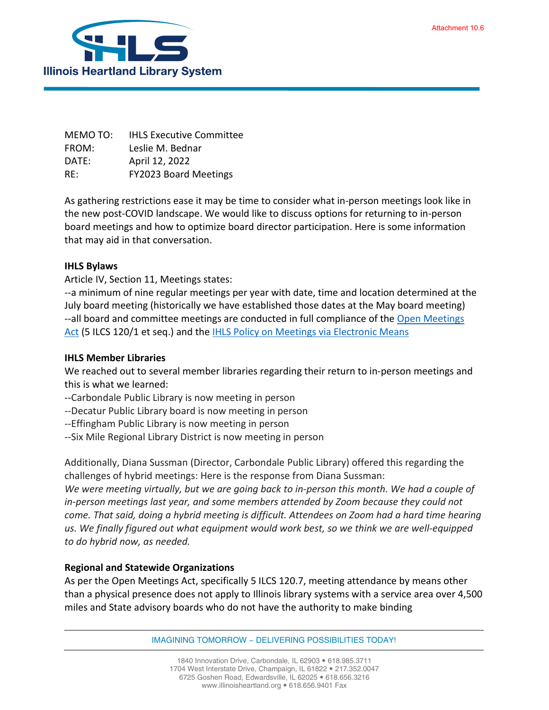

MEMO TO: IHLS Executive Committee FROM: Leslie M. Bednar DATE: April 12, 2022 RE: FY2023 Board Meetings

As gathering restrictions ease it may be time to consider what in-person meetings look like in the new post-COVID landscape. We would like to discuss options for returning to in-person board meetings and how to optimize board director participation. Here is some information that may aid in that conversation.

## **IHLS Bylaws**

Article IV, Section 11, Meetings states:

--a minimum of nine regular meetings per year with date, time and location determined at the July board meeting (historically we have established those dates at the May board meeting) --all board and committee meetings are conducted in full compliance of the [Open Meetings](https://www.ilga.gov/legislation/ilcs/ilcs3.asp?ActID=84&ChapterID=2)  [Act](https://www.ilga.gov/legislation/ilcs/ilcs3.asp?ActID=84&ChapterID=2) (5 ILCS 120/1 et seq.) and th[e IHLS Policy on Meetings via Electronic Means](https://illinoisheartland.org/sites/default/files/about/policies/Meetings%20via%20Electronic%20Means%20October%202012.pdf)

## **IHLS Member Libraries**

We reached out to several member libraries regarding their return to in-person meetings and this is what we learned:

- --Carbondale Public Library is now meeting in person
- --Decatur Public Library board is now meeting in person
- --Effingham Public Library is now meeting in person
- --Six Mile Regional Library District is now meeting in person

Additionally, Diana Sussman (Director, Carbondale Public Library) offered this regarding the challenges of hybrid meetings: Here is the response from Diana Sussman:

*We were meeting virtually, but we are going back to in-person this month. We had a couple of in-person meetings last year, and some members attended by Zoom because they could not come. That said, doing a hybrid meeting is difficult. Attendees on Zoom had a hard time hearing us. We finally figured out what equipment would work best, so we think we are well-equipped to do hybrid now, as needed.*

## **Regional and Statewide Organizations**

As per the Open Meetings Act, specifically 5 ILCS 120.7, meeting attendance by means other than a physical presence does not apply to Illinois library systems with a service area over 4,500 miles and State advisory boards who do not have the authority to make binding